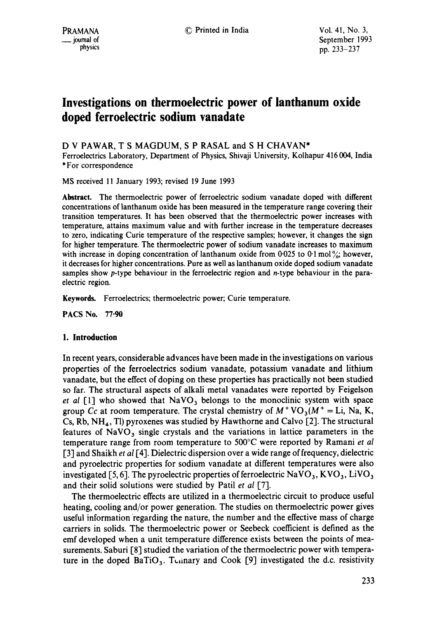# **Investigations on thermoelectric power of lanthanum oxide doped ferroelectric sodium vanadate**

D V PAWAR, T S MAGDUM, S P RASAL and S H CHAVAN\*

Ferroelectrics Laboratory, Department of Physics, Shivaji University, Kolhapur 416004, India \* For correspondence

MS received 11 January 1993; revised 19 June 1993

**Abstract.** The thermoelectric power of ferroelectric sodium vanadate doped with different concentrations of lanthanum oxide has been measured in the temperature range covering their transition temperatures. It has been observed that the thermoelectric power increases with temperature, attains maximum value and with further increase in the temperature decreases to zero, indicating Curie temperature of the respective samples; however, it changes the sign for higher temperature. The thermoelectric power of sodium vanadate increases to maximum with increase in doping concentration of lanthanum oxide from 0.025 to 0.1 mol  $\frac{6}{10}$ ; however, it decreases for higher concentrations. Pure as well as lanthanum oxide doped sodium vanadate samples show p-type behaviour in the ferroelectric region and n-type behaviour in the paraelectric region.

**Keywords.** Ferroelectrics; thermoelectric power; Curie temperature.

PACS No. 77.90

### **1. Introduction**

In recent years, considerable advances have been made in the investigations on various properties of the ferroelectrics sodium vanadate, potassium vanadate and lithium vanadate, but the effect of doping on these properties has practically not been studied so far. The structural aspects of alkali metal vanadates were reported by Feigelson *et al* [1] who showed that  $NaVO<sub>3</sub>$  belongs to the monoclinic system with space group Cc at room temperature. The crystal chemistry of  $M^{+}VO_{3}(M^{+} = Li, Na, K,$ Cs, Rb,  $NH_4$ , Tl) pyroxenes was studied by Hawthorne and Calvo [2]. The structural features of  $NaVO<sub>3</sub>$  single crystals and the variations in lattice parameters in the temperature range from room temperature to 500°C were reported by Ramani *et al*  [3] and Shaikh *et al* [4]. Dielectric dispersion over a wide range of frequency, dielectric and pyroelectric properties for sodium vanadate at different temperatures were also investigated [5, 6]. The pyroelectric properties of ferroelectric  $NaVO<sub>3</sub>$ ,  $KVO<sub>3</sub>$ , LiVO<sub>3</sub> and their solid solutions were studied by Patil *et al* [7].

The thermoelectric effects are utilized in a thermoelectric circuit to produce useful heating, cooling and/or power generation. The studies on thermoelectric power gives useful information regarding the nature, the number and the effective mass of charge carriers in solids. The thermoelectric power or Seebeck coefficient is defined as the emf developed when a unit temperature difference exists between the points of measurements. Saburi [8] studied the variation of the thermoelectric power with temperature in the doped BaTiO<sub>3</sub>. Tennary and Cook [9] investigated the d.c. resistivity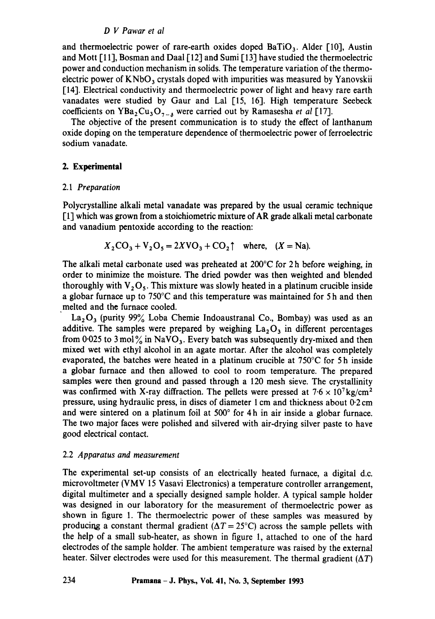### *D V Pawar et al*

and thermoelectric power of rare-earth oxides doped  $Bario<sub>3</sub>$ . Alder [10], Austin and Mott [11], Bosman and Daal [12] and Sumi [13] have studied the thermoelectric power and conduction mechanism in solids. The temperature variation of the thermoelectric power of  $KNbO<sub>3</sub>$  crystals doped with impurities was measured by Yanovskii [14]. Electrical conductivity and thermoelectric power of light and heavy rare earth vanadates were studied by Gaur and Lal [15, 16]. High temperature Seebeck coefficients on YBa<sub>2</sub>Cu<sub>3</sub>O<sub>7-6</sub> were carried out by Ramasesha *et al* [17].

The objective of the present communication is to study the effect of lanthanum oxide doping on the temperature dependence of thermoelectric power of ferroelectric sodium vanadate.

### **2. Experimental**

### 2.1 *Preparation*

Polycrystalline alkali metal vanadate was prepared by the usual ceramic technique [1] which was grown from a stoichiometric mixture of AR grade alkali metal carbonate and vanadium pentoxide according to the reaction:

$$
X_2\text{CO}_3 + \text{V}_2\text{O}_5 = 2X\text{VO}_3 + \text{CO}_2\uparrow \quad \text{where,} \quad (X = \text{Na}).
$$

The alkali metal carbonate used was preheated at  $200^{\circ}$ C for 2 h before weighing, in order to minimize the moisture. The dried powder was then weighted and blended thoroughly with  $V_2O_5$ . This mixture was slowly heated in a platinum crucible inside a globar furnace up to 750°C and this temperature was maintained for 5 h and then melted and the furnace cooled.

 $La_2O_3$  (purity 99% Loba Chemie Indoaustranal Co., Bombay) was used as an additive. The samples were prepared by weighing  $La<sub>2</sub>O<sub>3</sub>$  in different percentages from 0.025 to 3 mol $\frac{9}{6}$  in NaVO<sub>3</sub>. Every batch was subsequently dry-mixed and then mixed wet with ethyl alcohol in an agate mortar. After the alcohol was completely evaporated, the batches were heated in a platinum crucible at 750°C for 5 h inside a globar furnace and then allowed to cool to room temperature. The prepared samples were then ground and passed through a 120 mesh sieve. The crystallinity was confirmed with X-ray diffraction. The pellets were pressed at  $7.6 \times 10^{7}$  kg/cm<sup>2</sup> pressure, using hydraulic press, in discs of diameter 1 cm and thickness about 0.2 cm and were sintered on a platinum foil at  $500^{\circ}$  for 4h in air inside a globar furnace. The two major faces were polished and silvered with air-drying silver paste to have good electrical contact.

### 2.2 *Apparatus and measurement*

The experimental set-up consists of an electrically heated furnace, a digital d.c. microvoltmeter (VMV 15 Vasavi Electronics) a temperature controller arrangement, digital multimeter and a specially designed sample holder. A typical sample holder was designed in our laboratory for the measurement of thermoelectric power as shown in figure 1. The thermoelectric power of these samples was measured by producing a constant thermal gradient ( $\Delta T = 25^{\circ}\text{C}$ ) across the sample pellets with the help of a small sub-heater, as shown in figure 1, attached to one of the hard electrodes of the sample holder. The ambient temperature was raised by the external heater. Silver electrodes were used for this measurement. The thermal gradient  $(\Delta T)$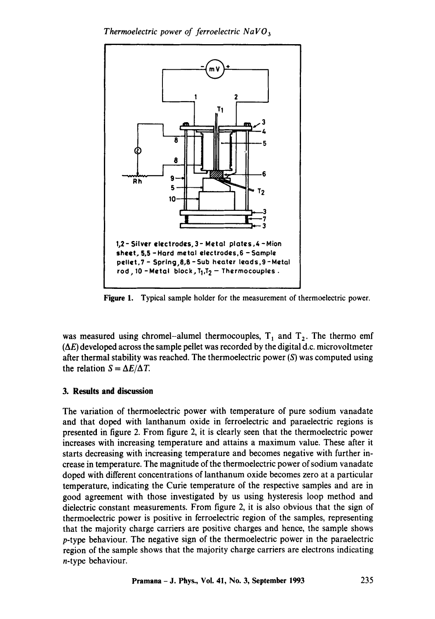*Thermoelectric power of ferroelectric NaV03* 



**Figure** 1. Typical sample holder for the measurement of thermoelectric power.

was measured using chromel-alumel thermocouples,  $T_1$  and  $T_2$ . The thermo emf  $(\Delta E)$  developed across the sample pellet was recorded by the digital d.c. microvoltmeter after thermal stability was reached. The thermoelectric power (S) was computed using the relation  $S = \Delta E / \Delta T$ .

## **3. Results and discussion**

The variation of thermoelectric power with temperature of pure sodium vanadate and that doped with lanthanum oxide in ferroelectric and paraelectric regions is presented in figure 2. From figure 2, it is clearly seen that the thermoelectric power increases with increasing temperature and attains a maximum value. These after it starts decreasing with increasing temperature and becomes negative with further increase in temperature. The magnitude of the thermoelectric power of sodium vanadate doped with different concentrations of lanthanum oxide becomes zero at a particular temperature, indicating the Curie temperature of the respective samples and are in good agreement with those investigated by us using hysteresis loop method and dielectric constant measurements. From figure 2, it is also obvious that the sign of thermoelectric power is positive in ferroelectric region of the samples, representing that the majority charge carriers are positive charges and hence, the sample shows p-type behaviour. The negative sign of the thermoelectric power in the paraelectric region of the sample shows that the majority charge carriers are electrons indicating n-type behaviour.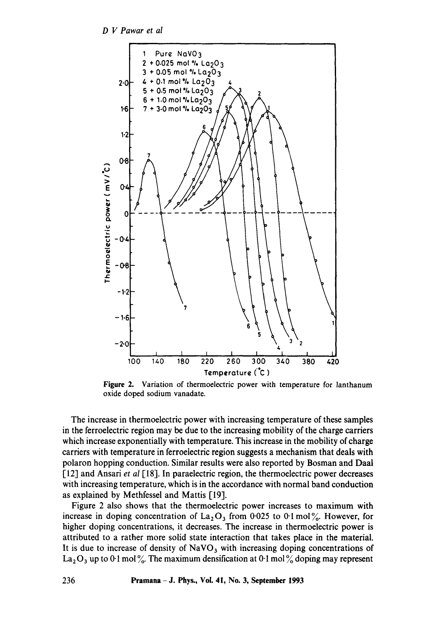*D V Pawar et al* 



**Figure** 2. Variation of thermoelectric power with temperature for lanthanum oxide doped sodium vanadate.

The increase in thermoelectric power with increasing temperature of these samples in the ferroelectric region may be due to the increasing mobility of the charge carriers which increase exponentially with temperature. This increase in the mobility of charge carriers with temperature in ferroelectric region suggests a mechanism that deals with polaron hopping conduction. Similar results were also reported by Bosman and Daal 1-12] and Ansari *et al* 1,18]. In paraelectric region, the thermoelectric power decreases with increasing temperature, which is in the accordance with normal band conduction as explained by Methfessel and Mattis [19].

Figure 2 also shows that the thermoelectric power increases to maximum with increase in doping concentration of  $La_2O_3$  from 0.025 to 0.1 mol%. However, for higher doping concentrations, it decreases. The increase in thermoelectric power is attributed to a rather more solid state interaction that takes place in the material. It is due to increase of density of  $NaVO<sub>3</sub>$  with increasing doping concentrations of  $La_2O_3$  up to 0.1 mol %. The maximum densification at 0.1 mol % doping may represent